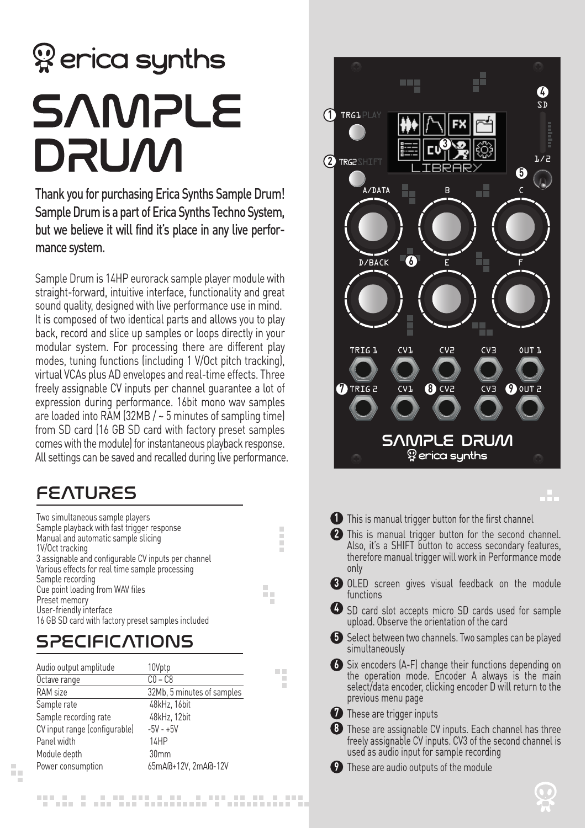# <sup>2</sup> erica synths **SAMPLE DRUM**

Thank you for purchasing Erica Synths Sample Drum! Sample Drum is a part of Erica Synths Techno System, but we believe it will find it's place in any live performance system.

Sample Drum is 14HP eurorack sample player module with straight-forward, intuitive interface, functionality and great sound quality, designed with live performance use in mind. It is composed of two identical parts and allows you to play back, record and slice up samples or loops directly in your modular system. For processing there are different play modes, tuning functions (including 1 V/Oct pitch tracking), virtual VCAs plus AD envelopes and real-time effects. Three freely assignable CV inputs per channel guarantee a lot of expression during performance. 16bit mono wav samples are loaded into RAM (32MB / ~ 5 minutes of sampling time) from SD card (16 GB SD card with factory preset samples comes with the module) for instantaneous playback response. All settings can be saved and recalled during live performance.

## **FEATURES**

| Two simultaneous sample players                     |   |
|-----------------------------------------------------|---|
| Sample playback with fast trigger response          |   |
| Manual and automatic sample slicing                 |   |
| 1V/Oct tracking                                     |   |
| 3 assignable and configurable CV inputs per channel |   |
| Various effects for real time sample processing     |   |
| Sample recording                                    |   |
| Cue point loading from WAV files                    |   |
| Preset memory                                       | ш |
| User-friendly interface                             |   |
| 16 GB SD card with factory preset samples included  |   |

 $\overline{\phantom{a}}$ E

n a ×

## **SPECIFICATIONS**

Ŷ.

| Audio output amplitude        | 10Vptp                     |
|-------------------------------|----------------------------|
| Octave range                  | $CO - C8$                  |
| <b>RAM</b> size               | 32Mb, 5 minutes of samples |
| Sample rate                   | 48kHz, 16bit               |
| Sample recording rate         | 48kHz, 12bit               |
| CV input range (configurable) | $-5V - +5V$                |
| Panel width                   | 14HP                       |
| Module depth                  | 30mm                       |
| Power consumption             | 65mA@+12V, 2mA@-12V        |



- **4** SD card slot accepts micro SD cards used for sample upload. Observe the orientation of the card
- **5** Select between two channels. Two samples can be played simultaneously
- Six encoders (A-F) change their functions depending on **6** the operation mode. Encoder A always is the main select/data encoder, clicking encoder D will return to the previous menu page

**7** These are trigger inputs

- These are assignable CV inputs. Each channel has three **8** freely assignable CV inputs. CV3 of the second channel is used as audio input for sample recording
- These are audio outputs of the module **9**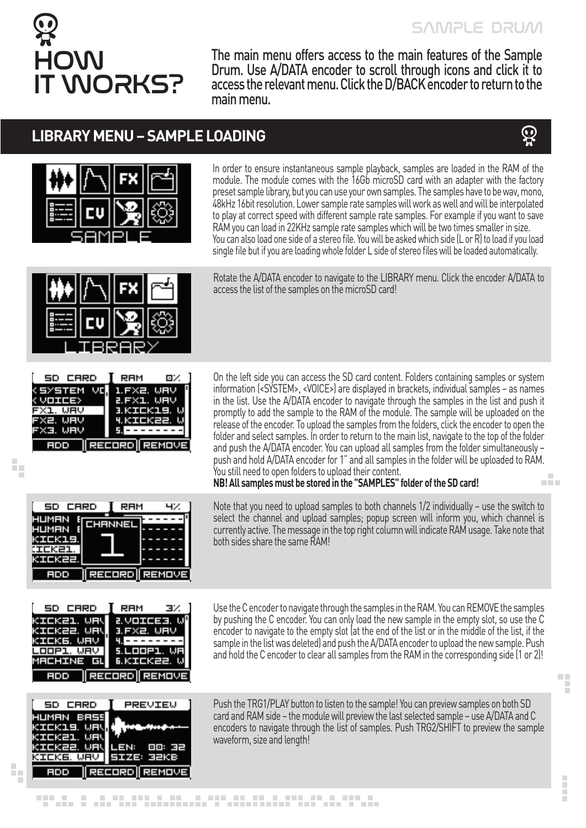

The main menu offers access to the main features of the Sample Drum. Use A/DATA encoder to scroll through icons and click it to access the relevant menu. Click the D/BACK encoder to return to the main menu.

## **LIBRARY MENU – SAMPLE LOADING**





In order to ensure instantaneous sample playback, samples are loaded in the RAM of the module. The module comes with the 16Gb microSD card with an adapter with the factory preset sample library, but you can use your own samples. The samples have to be wav, mono, 48kHz 16bit resolution. Lower sample rate samples will work as well and will be interpolated to play at correct speed with different sample rate samples. For example if you want to save RAM you can load in 22KHz sample rate samples which will be two times smaller in size. You can also load one side of a stereo file. You will be asked which side (L or R) to load if you load single file but if you are loading whole folder L side of stereo files will be loaded automatically.

Rotate the A/DATA encoder to navigate to the LIBRARY menu. Click the encoder A/DATA to access the list of the samples on the microSD card!

On the left side you can access the SD card content. Folders containing samples or system information (<SYSTEM>, <VOICE>) are displayed in brackets, individual samples – as names in the list. Use the A/DATA encoder to navigate through the samples in the list and push it promptly to add the sample to the RAM of the module. The sample will be uploaded on the release of the encoder. To upload the samples from the folders, click the encoder to open the folder and select samples. In order to return to the main list, navigate to the top of the folder and push the A/DATA encoder. You can upload all samples from the folder simultaneously – push and hold A/DATA encoder for 1" and all samples in the folder will be uploaded to RAM. You still need to open folders to upload their content. alian

**NB! All samples must be stored in the "SAMPLES" folder of the SD card!** 

Note that you need to upload samples to both channels 1/2 individually – use the switch to select the channel and upload samples; popup screen will inform you, which channel is currently active. The message in the top right column will indicate RAM usage. Take note that both sides share the same RAM!

Use the C encoder to navigate through the samples in the RAM. You can REMOVE the samples by pushing the C encoder. You can only load the new sample in the empty slot, so use the C encoder to navigate to the empty slot (at the end of the list or in the middle of the list, if the sample in the list was deleted) and push the A/DATA encoder to upload the new sample. Push and hold the C encoder to clear all samples from the RAM in the corresponding side (1 or 2)!

Push the TRG1/PLAY button to listen to the sample! You can preview samples on both SD card and RAM side – the module will preview the last selected sample – use A/DATA and C encoders to navigate through the list of samples. Push TRG2/SHIFT to preview the sample waveform, size and length!

T ook Г cr. roor mr.

| -----      | .<br>. .             |
|------------|----------------------|
| KSYSTEM VO | -1.FX2. UHV          |
| K VOICE»   | B.FXI. UHV           |
| FX1. UHV   | B.KIEKIS. V          |
| FX2. WAV   | <u>4.KIEK22. W</u>   |
| IFX3. WAV  |                      |
| - FDD - 11 | <b>RECORD REMOVE</b> |
|            |                      |

h,







**COL** F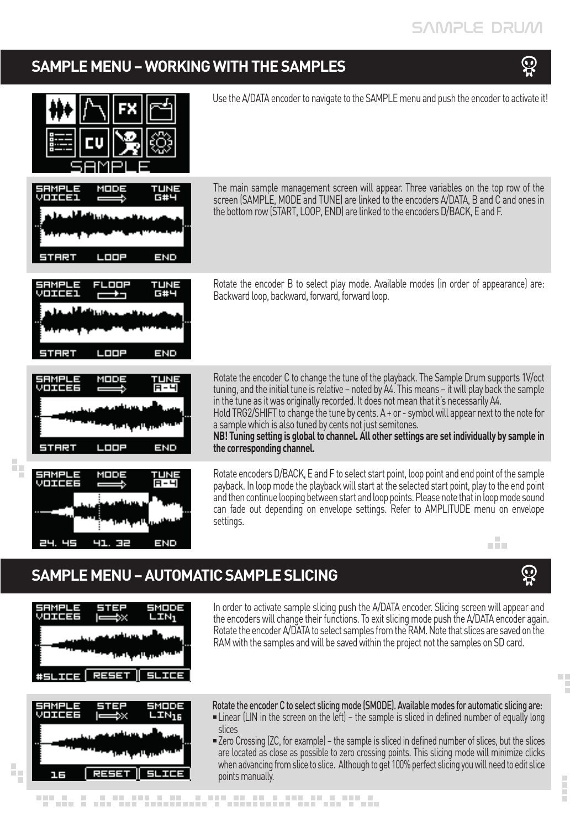## **SAMPLE MENU – WORKING WITH THE SAMPLES**





## **SAMPLE MENU – AUTOMATIC SAMPLE SLICING**





t,

an an A

In order to activate sample slicing push the A/DATA encoder. Slicing screen will appear and the encoders will change their functions. To exit slicing mode push the A/DATA encoder again. Rotate the encoder A/DATA to select samples from the RAM. Note that slices are saved on the RAM with the samples and will be saved within the project not the samples on SD card.

> $\mathbb{R}^2$ F

 $\mathbf{Q}$ 

Rotate the encoder C to select slicing mode (SMODE). Available modes for automatic slicing are:

- $\blacksquare$ Linear (LIN in the screen on the left) the sample is sliced in defined number of equally long slices
- Zero Crossing (ZC, for example) the sample is sliced in defined number of slices, but the slices are located as close as possible to zero crossing points. This slicing mode will minimize clicks when advancing from slice to slice. Although to get 100% perfect slicing you will need to edit slice points manually.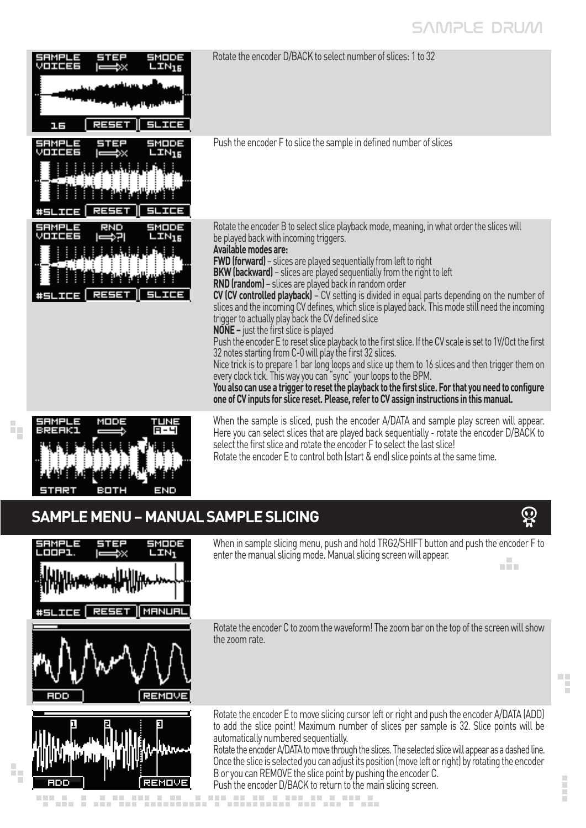## SAMPLE DRUM

| SMODE<br>SEN 200<br>VOIEES<br>$LTM_{15}$<br>ees<br>고등           | Rotate the encoder D/BACK to select number of slices: 1 to 32                                                                                                                                                                                                                                                                                                                                                                                                                                                                                                                                                                                                                                                                                                                                                                                                                                                                                                                                                                                                                                                                                                                                                                                                |
|-----------------------------------------------------------------|--------------------------------------------------------------------------------------------------------------------------------------------------------------------------------------------------------------------------------------------------------------------------------------------------------------------------------------------------------------------------------------------------------------------------------------------------------------------------------------------------------------------------------------------------------------------------------------------------------------------------------------------------------------------------------------------------------------------------------------------------------------------------------------------------------------------------------------------------------------------------------------------------------------------------------------------------------------------------------------------------------------------------------------------------------------------------------------------------------------------------------------------------------------------------------------------------------------------------------------------------------------|
| 56005<br>5752<br>S J J J J J J S<br>VOIEEE<br>LTN <sub>16</sub> | Push the encoder F to slice the sample in defined number of slices                                                                                                                                                                                                                                                                                                                                                                                                                                                                                                                                                                                                                                                                                                                                                                                                                                                                                                                                                                                                                                                                                                                                                                                           |
| smoe<br>LIM <sub>16</sub><br>씻바바리라다<br>12252                    | Rotate the encoder B to select slice playback mode, meaning, in what order the slices will<br>be played back with incoming triggers.<br>Available modes are:<br><b>FWD (forward)</b> - slices are played sequentially from left to right<br><b>BKW (backward)</b> - slices are played sequentially from the right to left<br><b>RND (random)</b> – slices are played back in random order<br>CV (CV controlled playback) – CV setting is divided in equal parts depending on the number of<br>slices and the incoming CV defines, which slice is played back. This mode still need the incoming<br>trigger to actually play back the CV defined slice<br><b>NONE</b> – just the first slice is played<br>Push the encoder E to reset slice playback to the first slice. If the CV scale is set to 1V/Oct the first<br>32 notes starting from C-0 will play the first 32 slices.<br>Nice trick is to prepare 1 bar long loops and slice up them to 16 slices and then trigger them on<br>every clock tick. This way you can "sync" your loops to the BPM.<br>You also can use a trigger to reset the playback to the first slice. For that you need to configure<br>one of CV inputs for slice reset. Please, refer to CV assign instructions in this manual. |
| 1321 - JAN                                                      | When the sample is sliced, push the encoder A/DATA and sample play screen will appear.<br>Here you can select slices that are played back sequentially - rotate the encoder D/BACK to<br>select the first slice and rotate the encoder F to select the last slice!<br>Rotate the encoder E to control both (start & end) slice points at the same time.                                                                                                                                                                                                                                                                                                                                                                                                                                                                                                                                                                                                                                                                                                                                                                                                                                                                                                      |

## **SAMPLE MENU – MANUAL SAMPLE SLICING**

END

a da ministr

**BOTH** 



44

**START** 

 $\mathbb{Z}_2$ 

When in sample slicing menu, push and hold TRG2/SHIFT button and push the encoder F to enter the manual slicing mode. Manual slicing screen will appear. alia.

Rotate the encoder C to zoom the waveform! The zoom bar on the top of the screen will show the zoom rate.

i

 $\mathfrak{D}$ 

Rotate the encoder E to move slicing cursor left or right and push the encoder A/DATA (ADD) to add the slice point! Maximum number of slices per sample is 32. Slice points will be automatically numbered sequentially.

Rotate the encoder A/DATA to move through the slices. The selected slice will appear as a dashed line. Once the slice is selected you can adjust its position (move left or right) by rotating the encoder B or you can REMOVE the slice point by pushing the encoder C. Push the encoder D/BACK to return to the main slicing screen.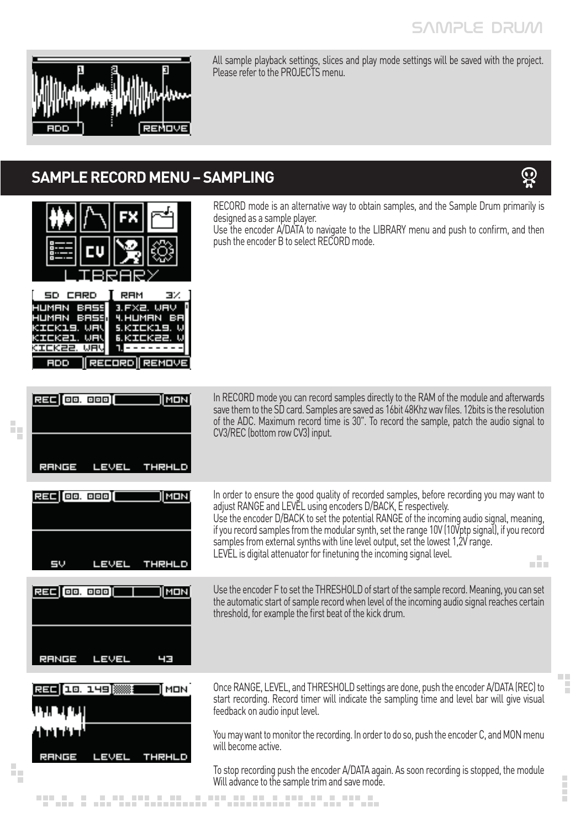$\mathbf{\Omega}$ 

 $\Box$ F

İ



h,

ł,

All sample playback settings, slices and play mode settings will be saved with the project. Please refer to the PROJECTS menu.

## **SAMPLE RECORD MENU – SAMPLING**



nonus, s usunsusnaussusungnussusunganus, nonus.

To stop recording push the encoder A/DATA again. As soon recording is stopped, the module Will advance to the sample trim and save mode.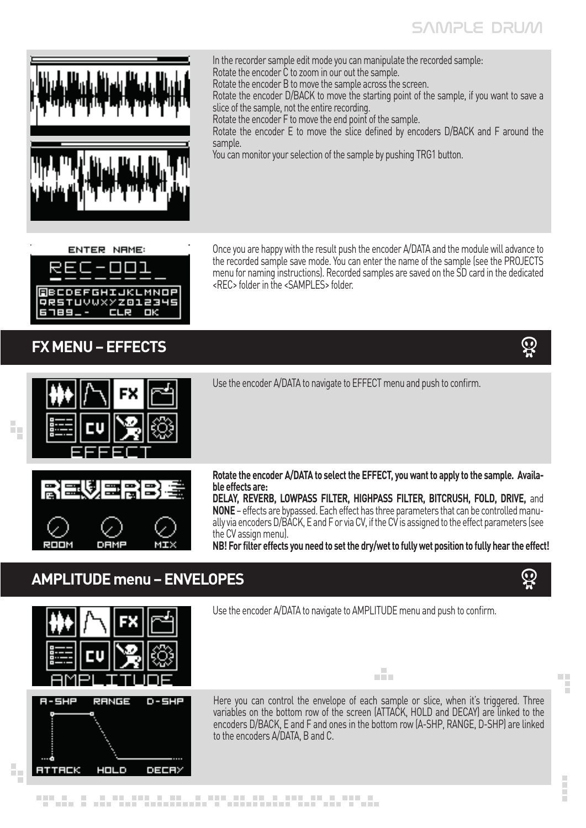## SAMPLE DRUM



In the recorder sample edit mode you can manipulate the recorded sample: Rotate the encoder C to zoom in our out the sample.

Rotate the encoder B to move the sample across the screen.

Rotate the encoder D/BACK to move the starting point of the sample, if you want to save a slice of the sample, not the entire recording.

Rotate the encoder F to move the end point of the sample.

<REC> folder in the <SAMPLES> folder.

Rotate the encoder E to move the slice defined by encoders D/BACK and F around the sample.

Once you are happy with the result push the encoder A/DATA and the module will advance to the recorded sample save mode. You can enter the name of the sample (see the PROJECTS menu for naming instructions). Recorded samples are saved on the SD card in the dedicated

You can monitor your selection of the sample by pushing TRG1 button.

#### **ENTER NAME:**



### **FX MENU – EFFECTS**

 $\tilde{r}_0$ 



 $\Box$ F

İ



Use the encoder A/DATA to navigate to EFFECT menu and push to confirm.



**Rotate the encoder A/DATA to select the EFFECT, you want to apply to the sample. Available effects are:**

**DELAY, REVERB, LOWPASS FILTER, HIGHPASS FILTER, BITCRUSH, FOLD, DRIVE,** and **NONE** – effects are bypassed. Each effect has three parameters that can be controlled manually via encoders D/BACK, E and F or via CV, if the CV is assigned to the effect parameters (see the CV assign menu).

**NB! For filter effects you need to set the dry/wet to fully wet position to fully hear the effect!**

## **AMPLITUDE menu – ENVELOPES**



Use the encoder A/DATA to navigate to AMPLITUDE menu and push to confirm.

Here you can control the envelope of each sample or slice, when it's triggered. Three variables on the bottom row of the screen (ATTACK, HOLD and DECAY) are linked to the encoders D/BACK, E and F and ones in the bottom row (A-SHP, RANGE, D-SHP) are linked to the encoders A/DATA, B and C.

alia.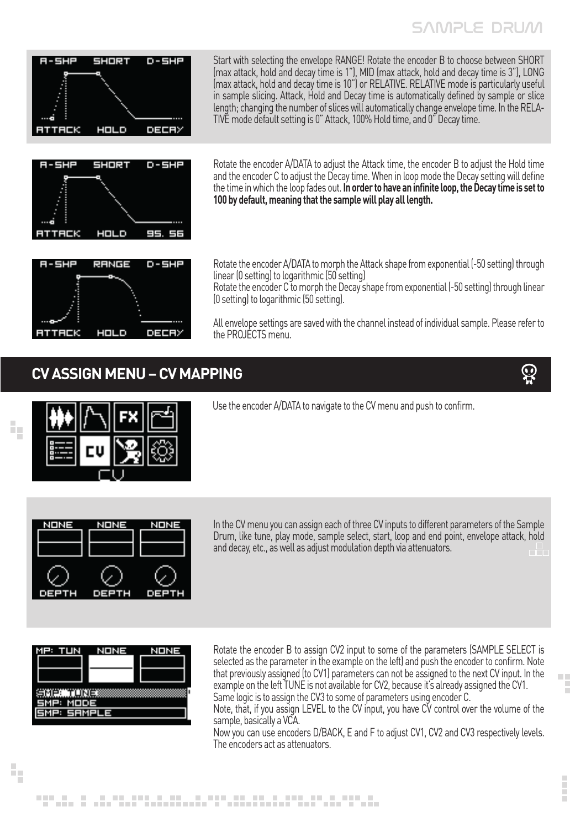

Start with selecting the envelope RANGE! Rotate the encoder B to choose between SHORT (max attack, hold and decay time is 1"), MID (max attack, hold and decay time is 3"), LONG (max attack, hold and decay time is 10") or RELATIVE. RELATIVE mode is particularly useful in sample slicing. Attack, Hold and Decay time is automatically defined by sample or slice length; changing the number of slices will automatically change envelope time. In the RELA- TIVE mode default setting is 0" Attack, 100% Hold time, and 0" Decay time.



RANGE

Fial Lio

2 - 5 X 2

 $\mathbb{Z}_2$ 

ł,

Rotate the encoder A/DATA to adjust the Attack time, the encoder B to adjust the Hold time and the encoder C to adjust the Decay time. When in loop mode the Decay setting will define the time in which the loop fades out. **In order to have an infinite loop, the Decay time is set to 100 by default, meaning that the sample will play all length.**

Rotate the encoder A/DATA to morph the Attack shape from exponential (-50 setting) through linear (0 setting) to logarithmic (50 setting)

Rotate the encoder C to morph the Decay shape from exponential (-50 setting) through linear (0 setting) to logarithmic (50 setting).

All envelope settings are saved with the channel instead of individual sample. Please refer to the PROJECTS menu.

### **CV ASSIGN MENU – CV MAPPING**

 $D-5H<sup>2</sup>$ 

**DECR** 





Use the encoder A/DATA to navigate to the CV menu and push to confirm.



In the CV menu you can assign each of three CV inputs to different parameters of the Sample Drum, like tune, play mode, sample select, start, loop and end point, envelope attack, hold and decay, etc., as well as adjust modulation depth via attenuators.

| , TUN<br>4 | NONE | NONE |  |  |
|------------|------|------|--|--|
|            |      |      |  |  |
|            |      |      |  |  |
| п<br>--    |      |      |  |  |
| P          | 11   |      |  |  |
| 드러리자크      | Е    |      |  |  |

Rotate the encoder B to assign CV2 input to some of the parameters (SAMPLE SELECT is selected as the parameter in the example on the left) and push the encoder to confirm. Note that previously assigned (to CV1) parameters can not be assigned to the next CV input. In the example on the left TUNE is not available for CV2, because it's already assigned the CV1. Same logic is to assign the CV3 to some of parameters using encoder C.

Note, that, if you assign LEVEL to the CV input, you have CV control over the volume of the sample, basically a VCA.

Now you can use encoders D/BACK, E and F to adjust CV1, CV2 and CV3 respectively levels. The encoders act as attenuators.

a. F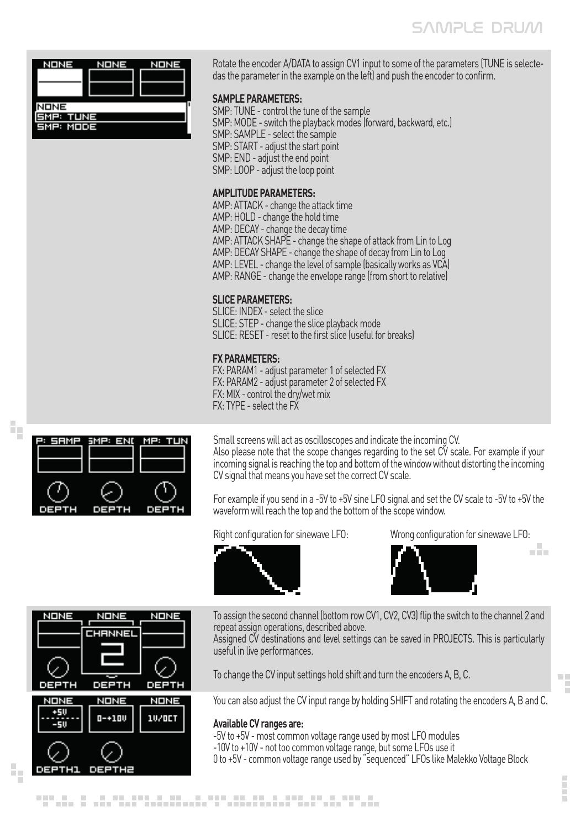

Rotate the encoder A/DATA to assign CV1 input to some of the parameters (TUNE is selectedas the parameter in the example on the left) and push the encoder to confirm.

#### **SAMPLE PARAMETERS:**

SMP: TUNE - control the tune of the sample SMP: MODE - switch the playback modes (forward, backward, etc.) SMP: SAMPLE - select the sample SMP: START - adjust the start point SMP: END - adjust the end point SMP: LOOP - adjust the loop point

#### **AMPLITUDE PARAMETERS:**

AMP: ATTACK - change the attack time AMP: HOLD - change the hold time AMP: DECAY - change the decay time AMP: ATTACK SHAPE - change the shape of attack from Lin to Log AMP: DECAY SHAPE - change the shape of decay from Lin to Log AMP: LEVEL - change the level of sample (basically works as VCA) AMP: RANGE - change the envelope range (from short to relative)

#### **SLICE PARAMETERS:**

SLICE: INDEX - select the slice SLICE: STEP - change the slice playback mode SLICE: RESET - reset to the first slice (useful for breaks)

#### **FX PARAMETERS:**

FX: PARAM1 - adjust parameter 1 of selected FX FX: PARAM2 - adjust parameter 2 of selected FX FX: MIX - control the dry/wet mix FX: TYPE - select the FX

Small screens will act as oscilloscopes and indicate the incoming CV. Also please note that the scope changes regarding to the set CV scale. For example if your incoming signal is reaching the top and bottom of the window without distorting the incoming CV signal that means you have set the correct CV scale.

For example if you send in a -5V to +5V sine LFO signal and set the CV scale to -5V to +5V the waveform will reach the top and the bottom of the scope window.

Right configuration for sinewave LFO: Wrong configuration for sinewave LFO:





a Ba



SMP: END

DEF

13MF

MP:

TUR

 $\tilde{r}_0$ 

ł,

To assign the second channel (bottom row CV1, CV2, CV3) flip the switch to the channel 2 and repeat assign operations, described above.

Assigned CV destinations and level settings can be saved in PROJECTS. This is particularly useful in live performances.

To change the CV input settings hold shift and turn the encoders A, B, C.

You can also adjust the CV input range by holding SHIFT and rotating the encoders A, B and C.

#### **Available CV ranges are:**

-5V to +5V - most common voltage range used by most LFO modules -10V to +10V - not too common voltage range, but some LFOs use it 0 to +5V - common voltage range used by "sequenced" LFOs like Malekko Voltage Block



E

 $\mathbb{R}^n$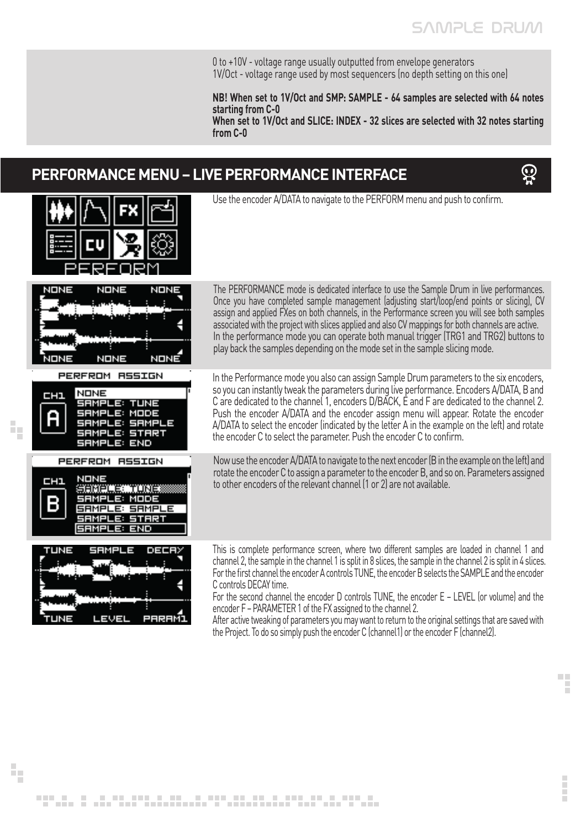0 to +10V - voltage range usually outputted from envelope generators 1V/Oct - voltage range used by most sequencers (no depth setting on this one)

**NB! When set to 1V/Oct and SMP: SAMPLE - 64 samples are selected with 64 notes starting from C-0**

**When set to 1V/Oct and SLICE: INDEX - 32 slices are selected with 32 notes starting from C-0**

## **PERFORMANCE MENU – LIVE PERFORMANCE INTERFACE**



**COL** 

E



ł,

Use the encoder A/DATA to navigate to the PERFORM menu and push to confirm.

The PERFORMANCE mode is dedicated interface to use the Sample Drum in live performances. Once you have completed sample management (adjusting start/loop/end points or slicing), CV assign and applied FXes on both channels, in the Performance screen you will see both samples associated with the project with slices applied and also CV mappings for both channels are active. In the performance mode you can operate both manual trigger (TRG1 and TRG2) buttons to play back the samples depending on the mode set in the sample slicing mode.

In the Performance mode you also can assign Sample Drum parameters to the six encoders, so you can instantly tweak the parameters during live performance. Encoders A/DATA, B and C are dedicated to the channel 1, encoders D/BACK, E and F are dedicated to the channel 2. Push the encoder A/DATA and the encoder assign menu will appear. Rotate the encoder A/DATA to select the encoder (indicated by the letter A in the example on the left) and rotate the encoder C to select the parameter. Push the encoder C to confirm.

Now use the encoder A/DATA to navigate to the next encoder (B in the example on the left) and rotate the encoder C to assign a parameter to the encoder B, and so on. Parameters assigned to other encoders of the relevant channel (1 or 2) are not available.

This is complete performance screen, where two different samples are loaded in channel 1 and channel 2, the sample in the channel 1 is split in 8 slices, the sample in the channel 2 is split in 4 slices. For the first channel the encoder A controls TUNE, the encoder B selects the SAMPLE and the encoder C controls DECAY time.

For the second channel the encoder D controls TUNE, the encoder E – LEVEL (or volume) and the encoder F – PARAMETER 1 of the FX assigned to the channel 2.

After active tweaking of parameters you may want to return to the original settings that are saved with the Project. To do so simply push the encoder C (channel1) or the encoder F (channel2).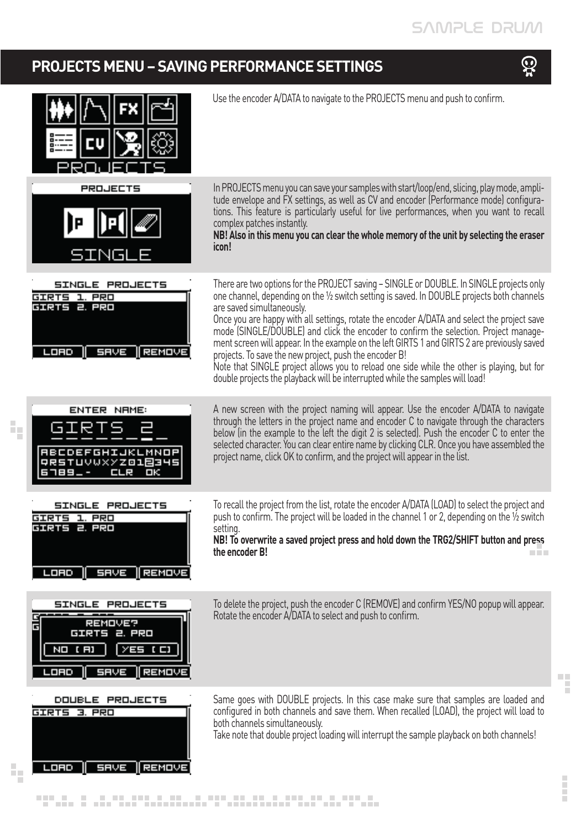## **PROJECTS MENU – SAVING PERFORMANCE SETTINGS**

ł,

īπ,





**COL**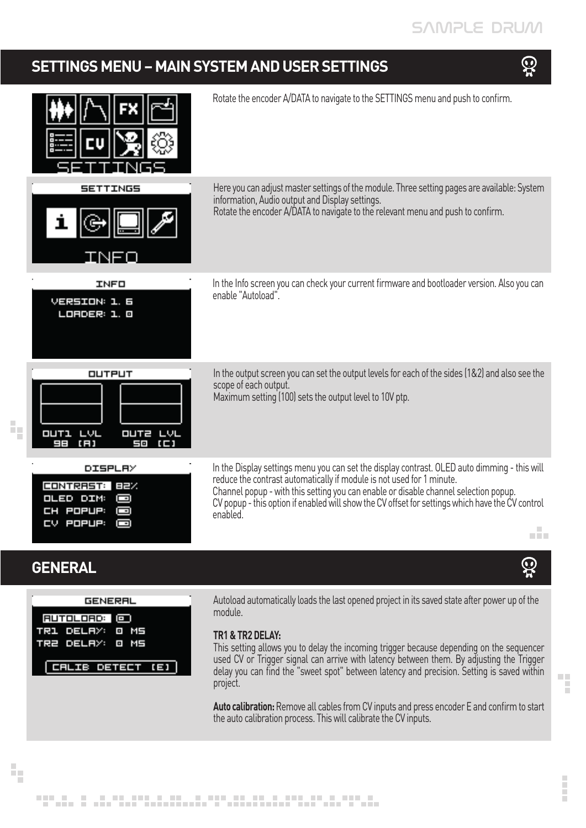## SAMPLE DRUM

## **SETTINGS MENU – MAIN SYSTEM AND USER SETTINGS**





ł,

Ē